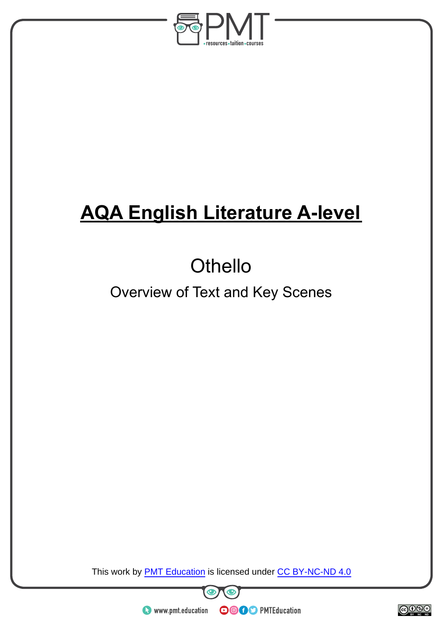

# **AQA English Literature A-level**

# **Othello**

# Overview of Text and Key Scenes

This work by **PMT Education** is licensed under CC BY-NC-ND 4.0





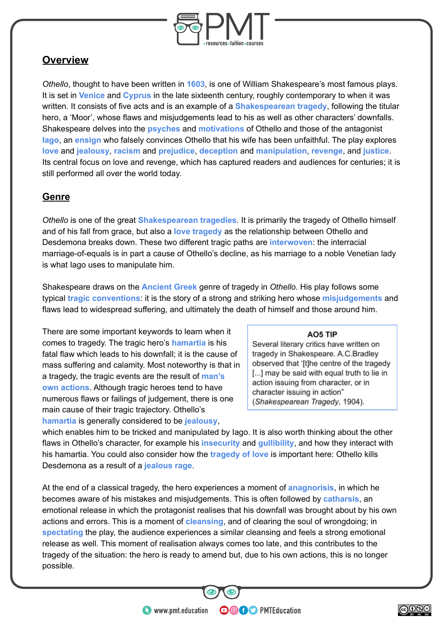

### **Overview**

*Othello*, thought to have been written in **1603**, is one of William Shakespeare's most famous plays. It is set in **Venice** and **Cyprus** in the late sixteenth century, roughly contemporary to when it was written. It consists of five acts and is an example of a **Shakespearean tragedy**, following the titular hero, a 'Moor', whose flaws and misjudgements lead to his as well as other characters' downfalls. Shakespeare delves into the **psyches** and **motivations** of Othello and those of the antagonist **Iago**, an **ensign** who falsely convinces Othello that his wife has been unfaithful. The play explores **love** and **jealousy**, **racism** and **prejudice**, **deception** and **manipulation**, **revenge**, and **justice**. Its central focus on love and revenge, which has captured readers and audiences for centuries; it is still performed all over the world today.

#### **Genre**

*Othello* is one of the great **Shakespearean tragedies**. It is primarily the tragedy of Othello himself and of his fall from grace, but also a **love tragedy** as the relationship between Othello and Desdemona breaks down. These two different tragic paths are **interwoven**: the interracial marriage-of-equals is in part a cause of Othello's decline, as his marriage to a noble Venetian lady is what Iago uses to manipulate him.

Shakespeare draws on the **Ancient Greek** genre of tragedy in *Othello*. His play follows some typical **tragic conventions**: it is the story of a strong and striking hero whose **misjudgements** and flaws lead to widespread suffering, and ultimately the death of himself and those around him.

There are some important keywords to learn when it comes to tragedy. The tragic hero's **hamartia** is his fatal flaw which leads to his downfall; it is the cause of mass suffering and calamity. Most noteworthy is that in a tragedy, the tragic events are the result of **man's own actions**. Although tragic heroes tend to have numerous flaws or failings of judgement, there is one main cause of their tragic trajectory. Othello's **hamartia** is generally considered to be **jealousy**,

#### AO5 TIP

Several literary critics have written on tragedy in Shakespeare. A.C.Bradley observed that '[t]he centre of the tragedy [...] may be said with equal truth to lie in action issuing from character, or in character issuing in action" (Shakespearean Tragedy, 1904).

which enables him to be tricked and manipulated by Iago. It is also worth thinking about the other flaws in Othello's character, for example his **insecurity** and **gullibility**, and how they interact with his hamartia. You could also consider how the **tragedy of love** is important here: Othello kills Desdemona as a result of a **jealous rage**.

At the end of a classical tragedy, the hero experiences a moment of **anagnorisis**, in which he becomes aware of his mistakes and misjudgements. This is often followed by **catharsis**, an emotional release in which the protagonist realises that his downfall was brought about by his own actions and errors. This is a moment of **cleansing**, and of clearing the soul of wrongdoing; in **spectating** the play, the audience experiences a similar cleansing and feels a strong emotional release as well. This moment of realisation always comes too late, and this contributes to the tragedy of the situation: the hero is ready to amend but, due to his own actions, this is no longer possible.

**OOOO** PMTEducation

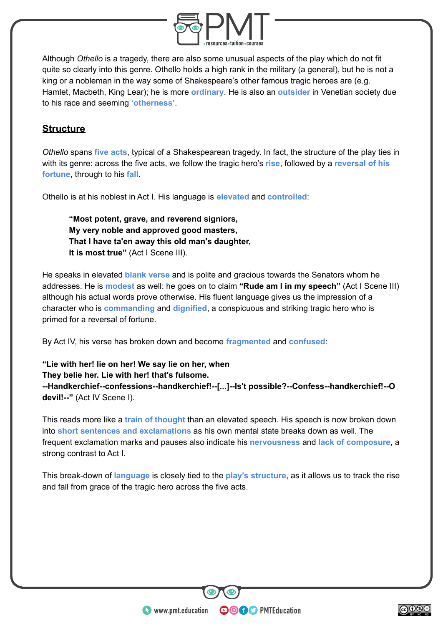

Although *Othello* is a tragedy, there are also some unusual aspects of the play which do not fit quite so clearly into this genre. Othello holds a high rank in the military (a general), but he is not a king or a nobleman in the way some of Shakespeare's other famous tragic heroes are (e.g. Hamlet, Macbeth, King Lear); he is more **ordinary**. He is also an **outsider** in Venetian society due to his race and seeming **'otherness'**.

#### **Structure**

*Othello* spans **five acts**, typical of a Shakespearean tragedy. In fact, the structure of the play ties in with its genre: across the five acts, we follow the tragic hero's **rise**, followed by a **reversal of his fortune**, through to his **fall**.

Othello is at his noblest in Act I. His language is **elevated** and **controlled**:

**"Most potent, grave, and reverend signiors, My very noble and approved good masters, That I have ta'en away this old man's daughter, It is most true"** (Act I Scene III).

He speaks in elevated **blank verse** and is polite and gracious towards the Senators whom he addresses. He is **modest** as well: he goes on to claim **"Rude am I in my speech"** (Act I Scene III) although his actual words prove otherwise. His fluent language gives us the impression of a character who is **commanding** and **dignified**, a conspicuous and striking tragic hero who is primed for a reversal of fortune.

By Act IV, his verse has broken down and become **fragmented** and **confused**:

**"Lie with her! lie on her! We say lie on her, when They belie her. Lie with her! that's fulsome. --Handkerchief--confessions--handkerchief!--[...]--Is't possible?--Confess--handkerchief!--O devil!--"** (Act IV Scene I).

This reads more like a **train of thought** than an elevated speech. His speech is now broken down into **short sentences and exclamations** as his own mental state breaks down as well. The frequent exclamation marks and pauses also indicate his **nervousness** and **lack of composure**, a strong contrast to Act I.

This break-down of **language** is closely tied to the **play's structure**, as it allows us to track the rise and fall from grace of the tragic hero across the five acts.

**OOOO** PMTEducation

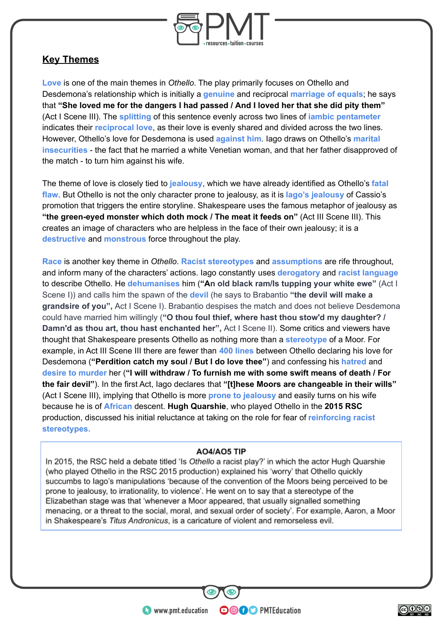

#### **Key Themes**

**Love** is one of the main themes in *Othello*. The play primarily focuses on Othello and Desdemona's relationship which is initially a **genuine** and reciprocal **marriage of equals**; he says that **"She loved me for the dangers I had passed / And I loved her that she did pity them"** (Act I Scene III). The **splitting** of this sentence evenly across two lines of **iambic pentameter** indicates their **reciprocal love**, as their love is evenly shared and divided across the two lines. However, Othello's love for Desdemona is used **against him**. Iago draws on Othello's **marital insecurities** - the fact that he married a white Venetian woman, and that her father disapproved of the match - to turn him against his wife.

The theme of love is closely tied to **jealousy**, which we have already identified as Othello's **fatal flaw**. But Othello is not the only character prone to jealousy, as it is **Iago's jealousy** of Cassio's promotion that triggers the entire storyline. Shakespeare uses the famous metaphor of jealousy as **"the green-eyed monster which doth mock / The meat it feeds on"** (Act III Scene III). This creates an image of characters who are helpless in the face of their own jealousy; it is a **destructive** and **monstrous** force throughout the play.

**Race** is another key theme in *Othello*. **Racist stereotypes** and **assumptions** are rife throughout, and inform many of the characters' actions. Iago constantly uses **derogatory** and **racist language** to describe Othello. He **dehumanises** him (**"An old black ram/Is tupping your white ewe"** (Act I Scene I)) and calls him the spawn of the **devil** (he says to Brabantio **"the devil will make a grandsire of you",** Act I Scene I). Brabantio despises the match and does not believe Desdemona could have married him willingly (**"O thou foul thief, where hast thou stow'd my daughter? / Damn'd as thou art, thou hast enchanted her",** Act I Scene II). Some critics and viewers have thought that Shakespeare presents Othello as nothing more than a **stereotype** of a Moor. For example, in Act III Scene III there are fewer than **400 lines** between Othello declaring his love for Desdemona (**"Perdition catch my soul / But I do love thee"**) and confessing his **hatred** and **desire to murder** her (**"I will withdraw / To furnish me with some swift means of death / For the fair devil"**). In the first Act, Iago declares that **"[t]hese Moors are changeable in their wills"** (Act I Scene III), implying that Othello is more **prone to jealousy** and easily turns on his wife because he is of **African** descent. **Hugh Quarshie**, who played Othello in the **2015 RSC** production, discussed his initial reluctance at taking on the role for fear of **reinforcing racist stereotypes.**

#### AO4/AO5 TIP

In 2015, the RSC held a debate titled 'Is Othello a racist play?' in which the actor Hugh Quarshie (who played Othello in the RSC 2015 production) explained his 'worry' that Othello quickly succumbs to lago's manipulations 'because of the convention of the Moors being perceived to be prone to jealousy, to irrationality, to violence'. He went on to say that a stereotype of the Elizabethan stage was that 'whenever a Moor appeared, that usually signalled something menacing, or a threat to the social, moral, and sexual order of society'. For example, Aaron, a Moor in Shakespeare's Titus Andronicus, is a caricature of violent and remorseless evil.

**OOOO** PMTEducation

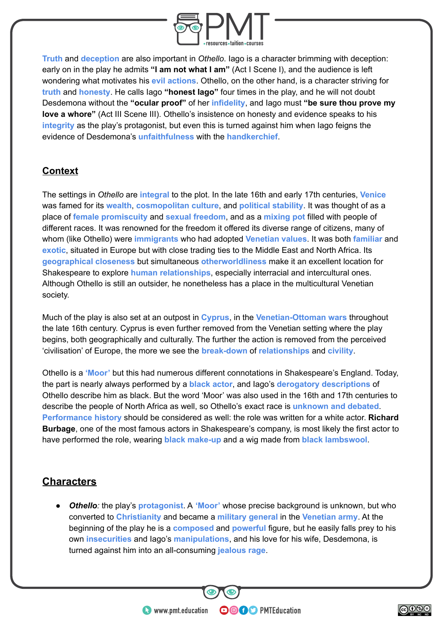

**Truth** and **deception** are also important in *Othello*. Iago is a character brimming with deception: early on in the play he admits **"I am not what I am"** (Act I Scene I), and the audience is left wondering what motivates his **evil actions**. Othello, on the other hand, is a character striving for **truth** and **honesty**. He calls Iago **"honest Iago"** four times in the play, and he will not doubt Desdemona without the **"ocular proof"** of her **infidelity**, and Iago must **"be sure thou prove my love a whore"** (Act III Scene III). Othello's insistence on honesty and evidence speaks to his **integrity** as the play's protagonist, but even this is turned against him when Iago feigns the evidence of Desdemona's **unfaithfulness** with the **handkerchief**.

#### **Context**

The settings in *Othello* are **integral** to the plot. In the late 16th and early 17th centuries, **Venice** was famed for its **wealth**, **cosmopolitan culture**, and **political stability**. It was thought of as a place of **female promiscuity** and **sexual freedom**, and as a **mixing pot** filled with people of different races. It was renowned for the freedom it offered its diverse range of citizens, many of whom (like Othello) were **immigrants** who had adopted **Venetian values**. It was both **familiar** and **exotic**, situated in Europe but with close trading ties to the Middle East and North Africa. Its **geographical closeness** but simultaneous **otherworldliness** make it an excellent location for Shakespeare to explore **human relationships**, especially interracial and intercultural ones. Although Othello is still an outsider, he nonetheless has a place in the multicultural Venetian society.

Much of the play is also set at an outpost in **Cyprus**, in the **Venetian-Ottoman wars** throughout the late 16th century. Cyprus is even further removed from the Venetian setting where the play begins, both geographically and culturally. The further the action is removed from the perceived 'civilisation' of Europe, the more we see the **break-down** of **relationships** and **civility**.

Othello is a **'Moor'** but this had numerous different connotations in Shakespeare's England. Today, the part is nearly always performed by a **black actor**, and Iago's **derogatory descriptions** of Othello describe him as black. But the word 'Moor' was also used in the 16th and 17th centuries to describe the people of North Africa as well, so Othello's exact race is **unknown and debated**. **Performance history** should be considered as well: the role was written for a white actor. **Richard Burbage**, one of the most famous actors in Shakespeare's company, is most likely the first actor to have performed the role, wearing **black make-up** and a wig made from **black lambswool**.

# **Characters**

● *Othello:* the play's **protagonist**. A **'Moor'** whose precise background is unknown, but who converted to **Christianity** and became a **military general** in the **Venetian army**. At the beginning of the play he is a **composed** and **powerful** figure, but he easily falls prey to his own **insecurities** and Iago's **manipulations**, and his love for his wife, Desdemona, is turned against him into an all-consuming **jealous rage**.

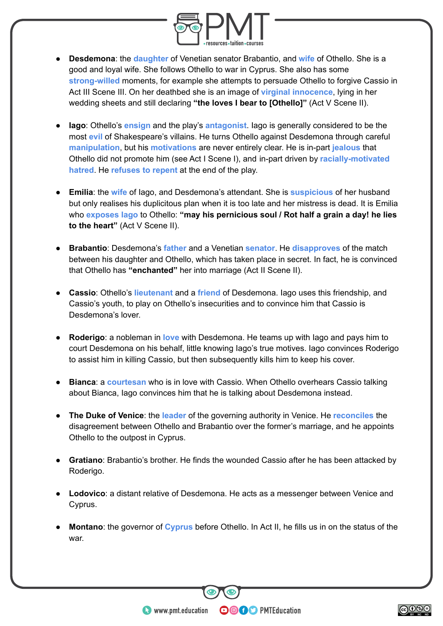

- **Desdemona**: the **daughter** of Venetian senator Brabantio, and **wife** of Othello. She is a good and loyal wife. She follows Othello to war in Cyprus. She also has some **strong-willed** moments, for example she attempts to persuade Othello to forgive Cassio in Act III Scene III. On her deathbed she is an image of **virginal innocence**, lying in her wedding sheets and still declaring **"the loves I bear to [Othello]"** (Act V Scene II).
- **Iago**: Othello's **ensign** and the play's **antagonist**. Iago is generally considered to be the most **evil** of Shakespeare's villains. He turns Othello against Desdemona through careful **manipulation**, but his **motivations** are never entirely clear. He is in-part **jealous** that Othello did not promote him (see Act I Scene I), and in-part driven by **racially-motivated hatred**. He **refuses to repent** at the end of the play.
- **Emilia**: the **wife** of Iago, and Desdemona's attendant. She is **suspicious** of her husband but only realises his duplicitous plan when it is too late and her mistress is dead. It is Emilia who **exposes Iago** to Othello: **"may his pernicious soul / Rot half a grain a day! he lies to the heart"** (Act V Scene II).
- **Brabantio**: Desdemona's **father** and a Venetian **senator**. He **disapproves** of the match between his daughter and Othello, which has taken place in secret. In fact, he is convinced that Othello has **"enchanted"** her into marriage (Act II Scene II).
- **Cassio**: Othello's **lieutenant** and a **friend** of Desdemona. Iago uses this friendship, and Cassio's youth, to play on Othello's insecurities and to convince him that Cassio is Desdemona's lover.
- **Roderigo**: a nobleman in **love** with Desdemona. He teams up with Iago and pays him to court Desdemona on his behalf, little knowing Iago's true motives. Iago convinces Roderigo to assist him in killing Cassio, but then subsequently kills him to keep his cover.
- **Bianca: a courtesan** who is in love with Cassio. When Othello overhears Cassio talking about Bianca, Iago convinces him that he is talking about Desdemona instead.
- **The Duke of Venice:** the **leader** of the governing authority in Venice. He **reconciles** the disagreement between Othello and Brabantio over the former's marriage, and he appoints Othello to the outpost in Cyprus.
- **Gratiano**: Brabantio's brother. He finds the wounded Cassio after he has been attacked by Roderigo.
- **Lodovico**: a distant relative of Desdemona. He acts as a messenger between Venice and Cyprus.
- **Montano:** the governor of **Cyprus** before Othello. In Act II, he fills us in on the status of the war.

**OOOO** PMTEducation

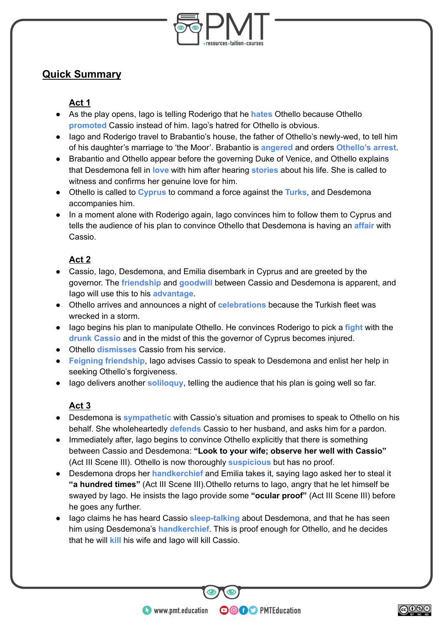

# **Quick Summary**

#### **Act 1**

- As the play opens, Iago is telling Roderigo that he **hates** Othello because Othello **promoted** Cassio instead of him. Iago's hatred for Othello is obvious.
- Iago and Roderigo travel to Brabantio's house, the father of Othello's newly-wed, to tell him of his daughter's marriage to 'the Moor'. Brabantio is **angered** and orders **Othello's arrest**.
- Brabantio and Othello appear before the governing Duke of Venice, and Othello explains that Desdemona fell in **love** with him after hearing **stories** about his life. She is called to witness and confirms her genuine love for him.
- Othello is called to **Cyprus** to command a force against the **Turks**, and Desdemona accompanies him.
- In a moment alone with Roderigo again, Iago convinces him to follow them to Cyprus and tells the audience of his plan to convince Othello that Desdemona is having an **affair** with Cassio.

#### **Act 2**

- Cassio, Iago, Desdemona, and Emilia disembark in Cyprus and are greeted by the governor. The **friendship** and **goodwill** between Cassio and Desdemona is apparent, and Iago will use this to his **advantage**.
- Othello arrives and announces a night of **celebrations** because the Turkish fleet was wrecked in a storm.
- Iago begins his plan to manipulate Othello. He convinces Roderigo to pick a **fight** with the **drunk Cassio** and in the midst of this the governor of Cyprus becomes injured.
- Othello **dismisses** Cassio from his service.
- **Feigning friendship**, Iago advises Cassio to speak to Desdemona and enlist her help in seeking Othello's forgiveness.
- Iago delivers another **soliloquy**, telling the audience that his plan is going well so far.

#### **Act 3**

- Desdemona is **sympathetic** with Cassio's situation and promises to speak to Othello on his behalf. She wholeheartedly **defends** Cassio to her husband, and asks him for a pardon.
- Immediately after, Iago begins to convince Othello explicitly that there is something between Cassio and Desdemona: **"Look to your wife; observe her well with Cassio"** (Act III Scene III). Othello is now thoroughly **suspicious** but has no proof.
- Desdemona drops her **handkerchief** and Emilia takes it, saying Iago asked her to steal it **"a hundred times"** (Act III Scene III).Othello returns to Iago, angry that he let himself be swayed by Iago. He insists the Iago provide some **"ocular proof"** (Act III Scene III) before he goes any further.
- Iago claims he has heard Cassio **sleep-talking** about Desdemona, and that he has seen him using Desdemona's **handkerchief**. This is proof enough for Othello, and he decides that he will **kill** his wife and Iago will kill Cassio.

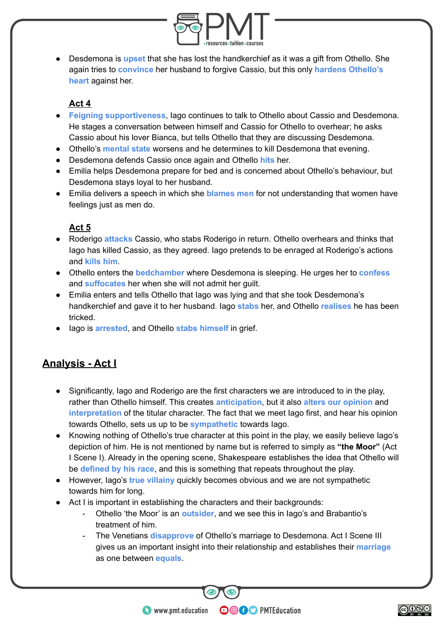

● Desdemona is **upset** that she has lost the handkerchief as it was a gift from Othello. She again tries to **convince** her husband to forgive Cassio, but this only **hardens Othello's heart** against her.

#### **Act 4**

- **Feigning supportiveness**, Iago continues to talk to Othello about Cassio and Desdemona. He stages a conversation between himself and Cassio for Othello to overhear; he asks Cassio about his lover Bianca, but tells Othello that they are discussing Desdemona.
- Othello's **mental state** worsens and he determines to kill Desdemona that evening.
- Desdemona defends Cassio once again and Othello **hits** her.
- Emilia helps Desdemona prepare for bed and is concerned about Othello's behaviour, but Desdemona stays loyal to her husband.
- Emilia delivers a speech in which she **blames men** for not understanding that women have feelings just as men do.

#### **Act 5**

- Roderigo **attacks** Cassio, who stabs Roderigo in return. Othello overhears and thinks that Iago has killed Cassio, as they agreed. Iago pretends to be enraged at Roderigo's actions and **kills him**.
- Othello enters the **bedchamber** where Desdemona is sleeping. He urges her to **confess** and **suffocates** her when she will not admit her guilt.
- Emilia enters and tells Othello that lago was lying and that she took Desdemona's handkerchief and gave it to her husband. Iago **stabs** her, and Othello **realises** he has been tricked.
- Iago is **arrested**, and Othello **stabs himself** in grief.

# **Analysis - Act I**

- Significantly, Iago and Roderigo are the first characters we are introduced to in the play, rather than Othello himself. This creates **anticipation**, but it also **alters our opinion** and **interpretation** of the titular character. The fact that we meet Iago first, and hear his opinion towards Othello, sets us up to be **sympathetic** towards Iago.
- Knowing nothing of Othello's true character at this point in the play, we easily believe Iago's depiction of him. He is not mentioned by name but is referred to simply as **"the Moor"** (Act I Scene I). Already in the opening scene, Shakespeare establishes the idea that Othello will be **defined by his race**, and this is something that repeats throughout the play.
- However, Iago's **true villainy** quickly becomes obvious and we are not sympathetic towards him for long.
- Act I is important in establishing the characters and their backgrounds:
	- Othello 'the Moor' is an **outsider**, and we see this in Iago's and Brabantio's treatment of him.
	- The Venetians **disapprove** of Othello's marriage to Desdemona. Act I Scene III gives us an important insight into their relationship and establishes their **marriage** as one between **equals**.

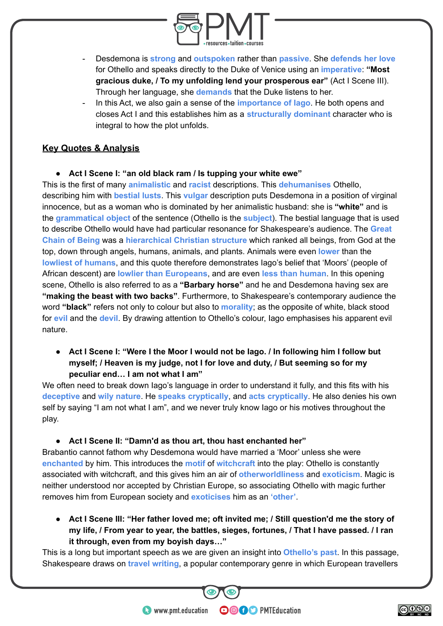

- Desdemona is **strong** and **outspoken** rather than **passive**. She **defends her love** for Othello and speaks directly to the Duke of Venice using an **imperative**: **"Most gracious duke, / To my unfolding lend your prosperous ear"** (Act I Scene III). Through her language, she **demands** that the Duke listens to her.
- In this Act, we also gain a sense of the **importance of Iago**. He both opens and closes Act I and this establishes him as a **structurally dominant** character who is integral to how the plot unfolds.

#### **Key Quotes & Analysis**

**● Act I Scene I: "an old black ram / Is tupping your white ewe"**

This is the first of many **animalistic** and **racist** descriptions. This **dehumanises** Othello, describing him with **bestial lusts**. This **vulgar** description puts Desdemona in a position of virginal innocence, but as a woman who is dominated by her animalistic husband: she is **"white"** and is the **grammatical object** of the sentence (Othello is the **subject**). The bestial language that is used to describe Othello would have had particular resonance for Shakespeare's audience. The **Great Chain of Being** was a **hierarchical Christian structure** which ranked all beings, from God at the top, down through angels, humans, animals, and plants. Animals were even **lower** than the **lowliest of humans**, and this quote therefore demonstrates Iago's belief that 'Moors' (people of African descent) are **lowlier than Europeans**, and are even **less than human**. In this opening scene, Othello is also referred to as a **"Barbary horse"** and he and Desdemona having sex are **"making the beast with two backs"**. Furthermore, to Shakespeare's contemporary audience the word **"black"** refers not only to colour but also to **morality**; as the opposite of white, black stood for **evil** and the **devil**. By drawing attention to Othello's colour, Iago emphasises his apparent evil nature.

**● Act I Scene I: "Were I the Moor I would not be Iago. / In following him I follow but myself; / Heaven is my judge, not I for love and duty, / But seeming so for my peculiar end… I am not what I am"**

We often need to break down Iago's language in order to understand it fully, and this fits with his **deceptive** and **wily nature**. He **speaks cryptically**, and **acts cryptically**. He also denies his own self by saying "I am not what I am", and we never truly know lago or his motives throughout the play.

**● Act I Scene II: "Damn'd as thou art, thou hast enchanted her"**

Brabantio cannot fathom why Desdemona would have married a 'Moor' unless she were **enchanted** by him. This introduces the **motif** of **witchcraft** into the play: Othello is constantly associated with witchcraft, and this gives him an air of **otherworldliness** and **exoticism**. Magic is neither understood nor accepted by Christian Europe, so associating Othello with magic further removes him from European society and **exoticises** him as an **'other'**.

**● Act I Scene III: "Her father loved me; oft invited me; / Still question'd me the story of my life, / From year to year, the battles, sieges, fortunes, / That I have passed. / I ran it through, even from my boyish days…"**

This is a long but important speech as we are given an insight into **Othello's past**. In this passage, Shakespeare draws on **travel writing**, a popular contemporary genre in which European travellers

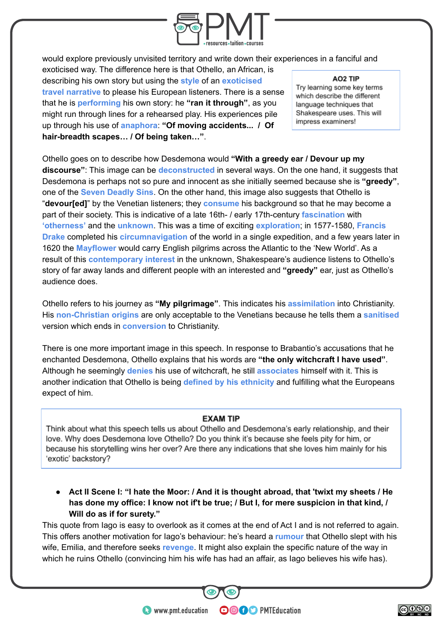

would explore previously unvisited territory and write down their experiences in a fanciful and

exoticised way. The difference here is that Othello, an African, is describing his own story but using the **style** of an **exoticised travel narrative** to please his European listeners. There is a sense that he is **performing** his own story: he **"ran it through"**, as you might run through lines for a rehearsed play. His experiences pile up through his use of **anaphora**: **"Of moving accidents... / Of hair-breadth scapes… / Of being taken…"**.

AO<sub>2</sub> TIP

Trv learning some key terms which describe the different language techniques that Shakespeare uses. This will impress examiners!

Othello goes on to describe how Desdemona would **"With a greedy ear / Devour up my discourse"**: This image can be **deconstructed** in several ways. On the one hand, it suggests that Desdemona is perhaps not so pure and innocent as she initially seemed because she is **"greedy"**, one of the **Seven Deadly Sins**. On the other hand, this image also suggests that Othello is "**devour[ed]**" by the Venetian listeners; they **consume** his background so that he may become a part of their society. This is indicative of a late 16th- / early 17th-century **fascination** with **'otherness'** and the **unknown**. This was a time of exciting **exploration**; in 1577-1580, **Francis Drake** completed his **circumnavigation** of the world in a single expedition, and a few years later in 1620 the **Mayflower** would carry English pilgrims across the Atlantic to the 'New World'. As a result of this **contemporary interest** in the unknown, Shakespeare's audience listens to Othello's story of far away lands and different people with an interested and **"greedy"** ear, just as Othello's audience does.

Othello refers to his journey as **"My pilgrimage"**. This indicates his **assimilation** into Christianity. His **non-Christian origins** are only acceptable to the Venetians because he tells them a **sanitised** version which ends in **conversion** to Christianity.

There is one more important image in this speech. In response to Brabantio's accusations that he enchanted Desdemona, Othello explains that his words are **"the only witchcraft I have used"**. Although he seemingly **denies** his use of witchcraft, he still **associates** himself with it. This is another indication that Othello is being **defined by his ethnicity** and fulfilling what the Europeans expect of him.

#### **EXAM TIP**

Think about what this speech tells us about Othello and Desdemona's early relationship, and their love. Why does Desdemona love Othello? Do you think it's because she feels pity for him, or because his storytelling wins her over? Are there any indications that she loves him mainly for his 'exotic' backstory?

**● Act II Scene I: "I hate the Moor: / And it is thought abroad, that 'twixt my sheets / He has done my office: I know not if't be true; / But I, for mere suspicion in that kind, / Will do as if for surety."**

This quote from Iago is easy to overlook as it comes at the end of Act I and is not referred to again. This offers another motivation for Iago's behaviour: he's heard a **rumour** that Othello slept with his wife, Emilia, and therefore seeks **revenge**. It might also explain the specific nature of the way in which he ruins Othello (convincing him his wife has had an affair, as lago believes his wife has).

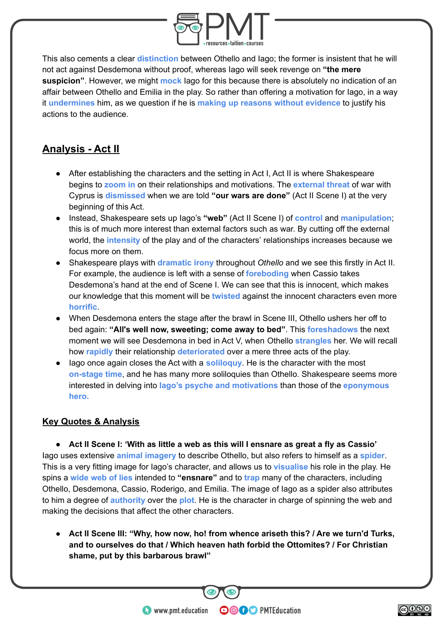

This also cements a clear **distinction** between Othello and Iago; the former is insistent that he will not act against Desdemona without proof, whereas Iago will seek revenge on **"the mere suspicion"**. However, we might **mock** Iago for this because there is absolutely no indication of an affair between Othello and Emilia in the play. So rather than offering a motivation for Iago, in a way it **undermines** him, as we question if he is **making up reasons without evidence** to justify his actions to the audience.

# **Analysis - Act II**

- After establishing the characters and the setting in Act I, Act II is where Shakespeare begins to **zoom in** on their relationships and motivations. The **external threat** of war with Cyprus is **dismissed** when we are told **"our wars are done"** (Act II Scene I) at the very beginning of this Act.
- Instead, Shakespeare sets up Iago's **"web"** (Act II Scene I) of **control** and **manipulation**; this is of much more interest than external factors such as war. By cutting off the external world, the **intensity** of the play and of the characters' relationships increases because we focus more on them.
- Shakespeare plays with **dramatic irony** throughout *Othello* and we see this firstly in Act II. For example, the audience is left with a sense of **foreboding** when Cassio takes Desdemona's hand at the end of Scene I. We can see that this is innocent, which makes our knowledge that this moment will be **twisted** against the innocent characters even more **horrific**.
- When Desdemona enters the stage after the brawl in Scene III, Othello ushers her off to bed again: **"All's well now, sweeting; come away to bed"**. This **foreshadows** the next moment we will see Desdemona in bed in Act V, when Othello **strangles** her. We will recall how **rapidly** their relationship **deteriorated** over a mere three acts of the play.
- Iago once again closes the Act with a **soliloquy**. He is the character with the most **on-stage time**, and he has many more soliloquies than Othello. Shakespeare seems more interested in delving into **Iago's psyche and motivations** than those of the **eponymous hero.**

#### **Key Quotes & Analysis**

**● Act II Scene I: 'With as little a web as this will I ensnare as great a fly as Cassio'**

Iago uses extensive **animal imagery** to describe Othello, but also refers to himself as a **spider**. This is a very fitting image for Iago's character, and allows us to **visualise** his role in the play. He spins a **wide web of lies** intended to **"ensnare"** and to **trap** many of the characters, including Othello, Desdemona, Cassio, Roderigo, and Emilia. The image of Iago as a spider also attributes to him a degree of **authority** over the **plot**. He is the character in charge of spinning the web and making the decisions that affect the other characters.

**● Act II Scene III: "Why, how now, ho! from whence ariseth this? / Are we turn'd Turks, and to ourselves do that / Which heaven hath forbid the Ottomites? / For Christian shame, put by this barbarous brawl"**

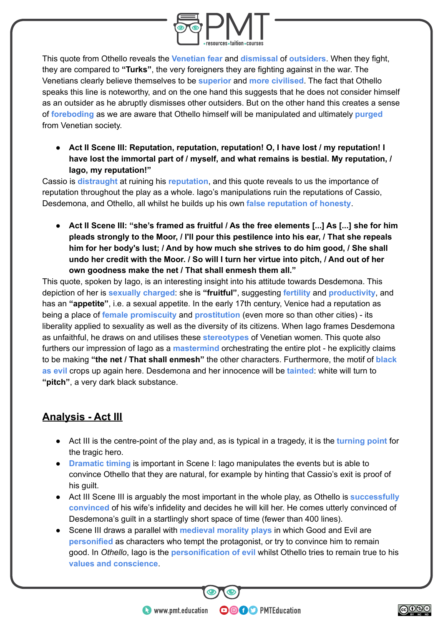

This quote from Othello reveals the **Venetian fear** and **dismissal** of **outsiders**. When they fight, they are compared to **"Turks"**, the very foreigners they are fighting against in the war. The Venetians clearly believe themselves to be **superior** and **more civilised**. The fact that Othello speaks this line is noteworthy, and on the one hand this suggests that he does not consider himself as an outsider as he abruptly dismisses other outsiders. But on the other hand this creates a sense of **foreboding** as we are aware that Othello himself will be manipulated and ultimately **purged** from Venetian society.

**● Act II Scene III: Reputation, reputation, reputation! O, I have lost / my reputation! I have lost the immortal part of / myself, and what remains is bestial. My reputation, / Iago, my reputation!"**

Cassio is **distraught** at ruining his **reputation**, and this quote reveals to us the importance of reputation throughout the play as a whole. Iago's manipulations ruin the reputations of Cassio, Desdemona, and Othello, all whilst he builds up his own **false reputation of honesty**.

Act II Scene III: "she's framed as fruitful / As the free elements [...] As [...] she for him **pleads strongly to the Moor, / I'll pour this pestilence into his ear, / That she repeals him for her body's lust; / And by how much she strives to do him good, / She shall undo her credit with the Moor. / So will I turn her virtue into pitch, / And out of her own goodness make the net / That shall enmesh them all."**

This quote, spoken by Iago, is an interesting insight into his attitude towards Desdemona. This depiction of her is **sexually charged**: she is **"fruitful"**, suggesting **fertility** and **productivity**, and has an **"appetite"**, i.e. a sexual appetite. In the early 17th century, Venice had a reputation as being a place of **female promiscuity** and **prostitution** (even more so than other cities) - its liberality applied to sexuality as well as the diversity of its citizens. When Iago frames Desdemona as unfaithful, he draws on and utilises these **stereotypes** of Venetian women. This quote also furthers our impression of Iago as a **mastermind** orchestrating the entire plot - he explicitly claims to be making **"the net / That shall enmesh"** the other characters. Furthermore, the motif of **black as evil** crops up again here. Desdemona and her innocence will be **tainted**: white will turn to **"pitch"**, a very dark black substance.

# **Analysis - Act III**

- Act III is the centre-point of the play and, as is typical in a tragedy, it is the **turning point** for the tragic hero.
- **Dramatic timing** is important in Scene I: Iago manipulates the events but is able to convince Othello that they are natural, for example by hinting that Cassio's exit is proof of his guilt.
- Act III Scene III is arguably the most important in the whole play, as Othello is **successfully convinced** of his wife's infidelity and decides he will kill her. He comes utterly convinced of Desdemona's guilt in a startlingly short space of time (fewer than 400 lines).
- Scene III draws a parallel with **medieval morality plays** in which Good and Evil are **personified** as characters who tempt the protagonist, or try to convince him to remain good. In *Othello*, Iago is the **personification of evil** whilst Othello tries to remain true to his **values and conscience**.

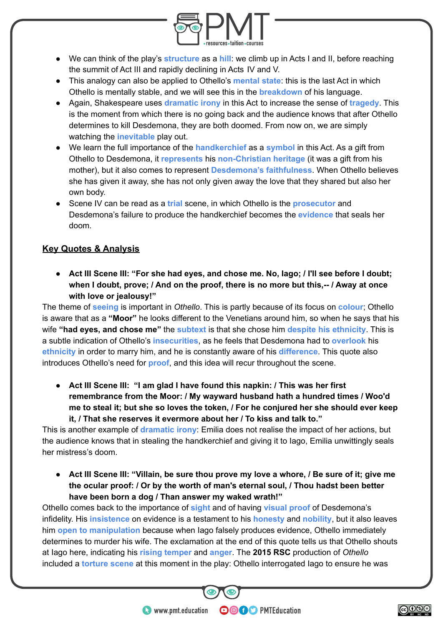

- We can think of the play's **structure** as a **hill**: we climb up in Acts I and II, before reaching the summit of Act III and rapidly declining in Acts IV and V.
- This analogy can also be applied to Othello's **mental state**: this is the last Act in which Othello is mentally stable, and we will see this in the **breakdown** of his language.
- Again, Shakespeare uses **dramatic irony** in this Act to increase the sense of **tragedy**. This is the moment from which there is no going back and the audience knows that after Othello determines to kill Desdemona, they are both doomed. From now on, we are simply watching the **inevitable** play out.
- We learn the full importance of the **handkerchief** as a **symbol** in this Act. As a gift from Othello to Desdemona, it **represents** his **non-Christian heritage** (it was a gift from his mother), but it also comes to represent **Desdemona's faithfulness**. When Othello believes she has given it away, she has not only given away the love that they shared but also her own body.
- Scene IV can be read as a **trial** scene, in which Othello is the **prosecutor** and Desdemona's failure to produce the handkerchief becomes the **evidence** that seals her doom.

#### **Key Quotes & Analysis**

**● Act III Scene III: "For she had eyes, and chose me. No, Iago; / I'll see before I doubt; when I doubt, prove; / And on the proof, there is no more but this,-- / Away at once with love or jealousy!"**

The theme of **seeing** is important in *Othello*. This is partly because of its focus on **colour**; Othello is aware that as a **"Moor"** he looks different to the Venetians around him, so when he says that his wife **"had eyes, and chose me"** the **subtext** is that she chose him **despite his ethnicity**. This is a subtle indication of Othello's **insecurities**, as he feels that Desdemona had to **overlook** his **ethnicity** in order to marry him, and he is constantly aware of his **difference**. This quote also introduces Othello's need for **proof**, and this idea will recur throughout the scene.

**● Act III Scene III: "I am glad I have found this napkin: / This was her first remembrance from the Moor: / My wayward husband hath a hundred times / Woo'd me to steal it; but she so loves the token, / For he conjured her she should ever keep it, / That she reserves it evermore about her / To kiss and talk to."**

This is another example of **dramatic irony**: Emilia does not realise the impact of her actions, but the audience knows that in stealing the handkerchief and giving it to Iago, Emilia unwittingly seals her mistress's doom.

**● Act III Scene III: "Villain, be sure thou prove my love a whore, / Be sure of it; give me the ocular proof: / Or by the worth of man's eternal soul, / Thou hadst been better have been born a dog / Than answer my waked wrath!"**

Othello comes back to the importance of **sight** and of having **visual proof** of Desdemona's infidelity. His **insistence** on evidence is a testament to his **honesty** and **nobility**, but it also leaves him **open to manipulation** because when Iago falsely produces evidence, Othello immediately determines to murder his wife. The exclamation at the end of this quote tells us that Othello shouts at Iago here, indicating his **rising temper** and **anger**. The **2015 RSC** production of *Othello* included a **torture scene** at this moment in the play: Othello interrogated Iago to ensure he was

**OOOO** PMTEducation

**htms://www.pmt.education** 

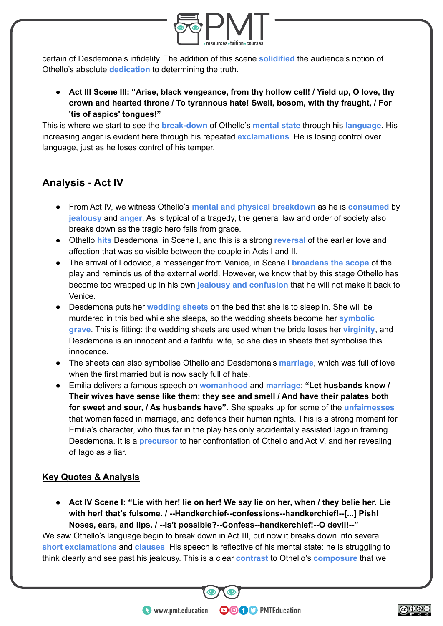

certain of Desdemona's infidelity. The addition of this scene **solidified** the audience's notion of Othello's absolute **dedication** to determining the truth.

**● Act III Scene III: "Arise, black vengeance, from thy hollow cell! / Yield up, O love, thy crown and hearted throne / To tyrannous hate! Swell, bosom, with thy fraught, / For 'tis of aspics' tongues!"**

This is where we start to see the **break-down** of Othello's **mental state** through his **language**. His increasing anger is evident here through his repeated **exclamations**. He is losing control over language, just as he loses control of his temper.

# **Analysis - Act IV**

- From Act IV, we witness Othello's **mental and physical breakdown** as he is **consumed** by **jealousy** and **anger**. As is typical of a tragedy, the general law and order of society also breaks down as the tragic hero falls from grace.
- Othello **hits** Desdemona in Scene I, and this is a strong **reversal** of the earlier love and affection that was so visible between the couple in Acts I and II.
- The arrival of Lodovico, a messenger from Venice, in Scene I **broadens the scope** of the play and reminds us of the external world. However, we know that by this stage Othello has become too wrapped up in his own **jealousy and confusion** that he will not make it back to Venice.
- Desdemona puts her **wedding sheets** on the bed that she is to sleep in. She will be murdered in this bed while she sleeps, so the wedding sheets become her **symbolic grave**. This is fitting: the wedding sheets are used when the bride loses her **virginity**, and Desdemona is an innocent and a faithful wife, so she dies in sheets that symbolise this innocence.
- The sheets can also symbolise Othello and Desdemona's **marriage**, which was full of love when the first married but is now sadly full of hate.
- Emilia delivers a famous speech on **womanhood** and **marriage**: **"Let husbands know / Their wives have sense like them: they see and smell / And have their palates both for sweet and sour, / As husbands have"**. She speaks up for some of the **unfairnesses** that women faced in marriage, and defends their human rights. This is a strong moment for Emilia's character, who thus far in the play has only accidentally assisted Iago in framing Desdemona. It is a **precursor** to her confrontation of Othello and Act V, and her revealing of Iago as a liar.

#### **Key Quotes & Analysis**

**● Act IV Scene I: "Lie with her! lie on her! We say lie on her, when / they belie her. Lie with her! that's fulsome. / --Handkerchief--confessions--handkerchief!--[...] Pish! Noses, ears, and lips. / --Is't possible?--Confess--handkerchief!--O devil!--"**

We saw Othello's language begin to break down in Act III, but now it breaks down into several **short exclamations** and **clauses**. His speech is reflective of his mental state: he is struggling to think clearly and see past his jealousy. This is a clear **contrast** to Othello's **composure** that we

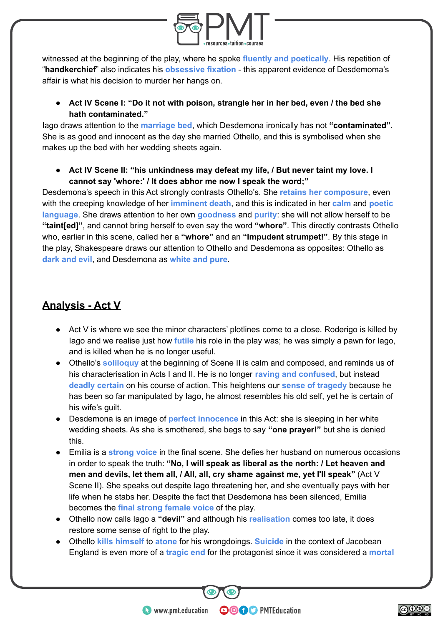

witnessed at the beginning of the play, where he spoke **fluently and poetically**. His repetition of "**handkerchief**" also indicates his **obsessive fixation** - this apparent evidence of Desdemoma's affair is what his decision to murder her hangs on.

**● Act IV Scene I: "Do it not with poison, strangle her in her bed, even / the bed she hath contaminated."**

Iago draws attention to the **marriage bed**, which Desdemona ironically has not **"contaminated"**. She is as good and innocent as the day she married Othello, and this is symbolised when she makes up the bed with her wedding sheets again.

**● Act IV Scene II: "his unkindness may defeat my life, / But never taint my love. I cannot say 'whore:' / It does abhor me now I speak the word;"**

Desdemona's speech in this Act strongly contrasts Othello's. She **retains her composure**, even with the creeping knowledge of her **imminent death**, and this is indicated in her **calm** and **poetic language**. She draws attention to her own **goodness** and **purity**: she will not allow herself to be **"taint[ed]"**, and cannot bring herself to even say the word **"whore"**. This directly contrasts Othello who, earlier in this scene, called her a **"whore"** and an **"Impudent strumpet!"**. By this stage in the play, Shakespeare draws our attention to Othello and Desdemona as opposites: Othello as **dark and evil**, and Desdemona as **white and pure**.

# **Analysis - Act V**

- Act V is where we see the minor characters' plotlines come to a close. Roderigo is killed by Iago and we realise just how **futile** his role in the play was; he was simply a pawn for Iago, and is killed when he is no longer useful.
- Othello's **soliloquy** at the beginning of Scene II is calm and composed, and reminds us of his characterisation in Acts I and II. He is no longer **raving and confused**, but instead **deadly certain** on his course of action. This heightens our **sense of tragedy** because he has been so far manipulated by Iago, he almost resembles his old self, yet he is certain of his wife's quilt.
- Desdemona is an image of **perfect innocence** in this Act: she is sleeping in her white wedding sheets. As she is smothered, she begs to say **"one prayer!"** but she is denied this.
- Emilia is a **strong voice** in the final scene. She defies her husband on numerous occasions in order to speak the truth: **"No, I will speak as liberal as the north: / Let heaven and men and devils, let them all, / All, all, cry shame against me, yet I'll speak"** (Act V Scene II). She speaks out despite Iago threatening her, and she eventually pays with her life when he stabs her. Despite the fact that Desdemona has been silenced, Emilia becomes the **final strong female voice** of the play.
- Othello now calls Iago a **"devil"** and although his **realisation** comes too late, it does restore some sense of right to the play.
- Othello **kills himself** to **atone** for his wrongdoings. **Suicide** in the context of Jacobean England is even more of a **tragic end** for the protagonist since it was considered a **mortal**